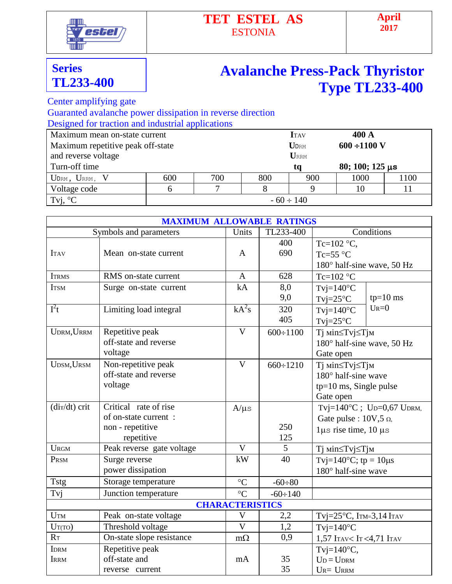

## **TET ESTEL AS** ESTONIA

## **Series TL233-400**

## **Avalanche Press-Pack Thyristor Type TL233-400**

Center amplifying gate

Guaranted avalanche power dissipation in reverse direction

Designed for traction and industrial applications

| Maximum mean on-state current             |                | <b>I</b> TAV | 400 A |                           |                        |      |
|-------------------------------------------|----------------|--------------|-------|---------------------------|------------------------|------|
| Maximum repetitive peak off-state         |                | <b>UDRM</b>  |       | $600 \div 1100 \text{ V}$ |                        |      |
| and reverse voltage                       |                | URRM         |       |                           |                        |      |
| Turn-off time                             |                |              |       | ta                        | $80; 100; 125 \,\mu s$ |      |
| $U_{\text{DRM}}$ , $U_{\text{RRM}}$ , $V$ | 600            | 700          | 800   | 900                       | 1000                   | 1100 |
| Voltage code                              |                |              |       |                           | 10                     |      |
| Tvj, $\mathrm{C}^{\circ}$                 | $-60 \div 140$ |              |       |                           |                        |      |

|                            | <b>MAXIMUM ALLOWABLE RATINGS</b>                                                |                         |                 |                                                                                              |  |
|----------------------------|---------------------------------------------------------------------------------|-------------------------|-----------------|----------------------------------------------------------------------------------------------|--|
|                            | Symbols and parameters                                                          | Units                   | TL233-400       | Conditions                                                                                   |  |
| <b>ITAV</b>                | Mean on-state current                                                           | A                       | 400<br>690      | Tc=102 $\,^{\circ}$ C,<br>Tc=55 $\degree$ C<br>180° half-sine wave, 50 Hz                    |  |
| <b>ITRMS</b>               | RMS on-state current                                                            | $\mathbf{A}$            | 628             | Tc=102 $\degree$ C                                                                           |  |
| <b>ITSM</b>                | Surge on-state current                                                          | kA                      | 8,0<br>9,0      | $T$ vj=140 $\rm ^{\circ}C$<br>$tp=10$ ms<br>$Tvj=25°C$                                       |  |
| $I^2t$                     | Limiting load integral                                                          | $kA^2s$                 | 320<br>405      | $U_{R}=0$<br>$T$ vj=140 $\degree$ C<br>$Tvi=25^{\circ}C$                                     |  |
| UDRM, URRM                 | Repetitive peak<br>off-state and reverse<br>voltage                             | $\mathbf{V}$            | $600 \div 1100$ | Тј міn≤Тvj≤Тјм<br>180° half-sine wave, 50 Hz<br>Gate open                                    |  |
| UDSM, URSM                 | Non-repetitive peak<br>off-state and reverse<br>voltage                         | $\overline{\mathsf{V}}$ | $660 \div 1210$ | Ті міn≤Тvj≤Тјм<br>180° half-sine wave<br>tp=10 ms, Single pulse<br>Gate open                 |  |
| $\frac{di\tau}{dt}$ crit   | Critical rate of rise<br>of on-state current:<br>non - repetitive<br>repetitive | $A/\mu s$               | 250<br>125      | Tvj=140°C; Up=0,67 UpRM,<br>Gate pulse : $10V, 5 \Omega$ ,<br>$1\mu s$ rise time, $10 \mu s$ |  |
| <b>URGM</b>                | Peak reverse gate voltage                                                       | $\mathbf{V}$            | 5               | Тј міn≤Тvj≤Тјм                                                                               |  |
| PRSM                       | Surge reverse<br>power dissipation                                              | kW                      | 40              | Tvj=140 $^{\circ}$ C; tp = 10 $\mu$ s<br>$180^\circ$ half-sine wave                          |  |
| <b>Tstg</b>                | Storage temperature                                                             | $\rm ^{\circ}C$         | $-60 \div 80$   |                                                                                              |  |
| Tvj                        | Junction temperature                                                            | $\rm ^{\circ}C$         | $-60 \div 140$  |                                                                                              |  |
|                            |                                                                                 | <b>CHARACTERISTICS</b>  |                 |                                                                                              |  |
| <b>UTM</b>                 | Peak on-state voltage                                                           | $\mathbf{V}$            | 2,2             | Tvj= $25^{\circ}$ C, ITM= $3,14$ ITAV                                                        |  |
| $U_T(TO)$                  | Threshold voltage                                                               | $\overline{\mathsf{V}}$ | 1,2             | $T$ vj=140 $\rm{^{\circ}C}$                                                                  |  |
| R <sub>T</sub>             | On-state slope resistance                                                       | $m\Omega$               | 0,9             | 1,57 ITAV <it<4,71 itav<="" td=""></it<4,71>                                                 |  |
| <b>IDRM</b><br><b>IRRM</b> | Repetitive peak<br>off-state and<br>reverse current                             | mA                      | 35<br>35        | Tvj= $140^{\circ}$ C,<br>$U_D = U_{DRM}$<br>$U_{R} = U_{RRM}$                                |  |